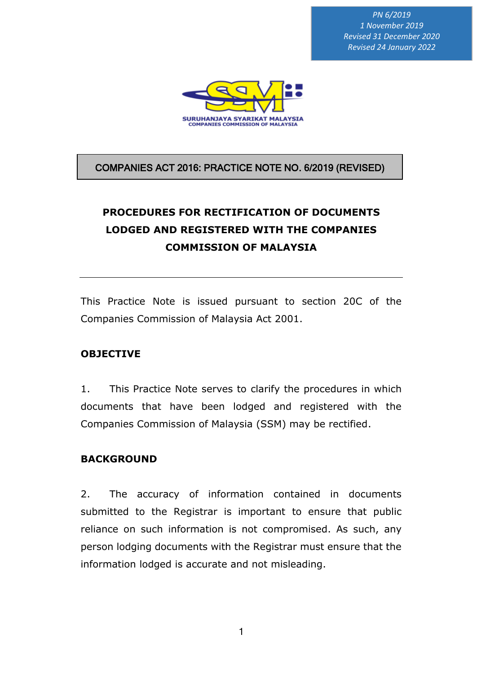*PN 6/2019 1 November 2019 Revised 31 December 2020 Revised 24 January 2022*



### COMPANIES ACT 2016: PRACTICE NOTE NO. 6/2019 (REVISED)

## **PROCEDURES FOR RECTIFICATION OF DOCUMENTS LODGED AND REGISTERED WITH THE COMPANIES COMMISSION OF MALAYSIA**

This Practice Note is issued pursuant to section 20C of the Companies Commission of Malaysia Act 2001.

### **OBJECTIVE**

1. This Practice Note serves to clarify the procedures in which documents that have been lodged and registered with the Companies Commission of Malaysia (SSM) may be rectified.

### **BACKGROUND**

2. The accuracy of information contained in documents submitted to the Registrar is important to ensure that public reliance on such information is not compromised. As such, any person lodging documents with the Registrar must ensure that the information lodged is accurate and not misleading.

1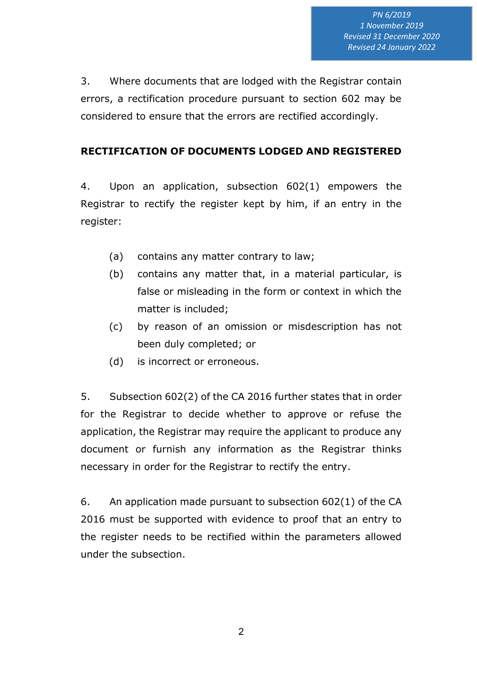3. Where documents that are lodged with the Registrar contain errors, a rectification procedure pursuant to section 602 may be considered to ensure that the errors are rectified accordingly.

### **RECTIFICATION OF DOCUMENTS LODGED AND REGISTERED**

4. Upon an application, subsection 602(1) empowers the Registrar to rectify the register kept by him, if an entry in the register:

- (a) contains any matter contrary to law;
- (b) contains any matter that, in a material particular, is false or misleading in the form or context in which the matter is included;
- (c) by reason of an omission or misdescription has not been duly completed; or
- (d) is incorrect or erroneous.

5. Subsection 602(2) of the CA 2016 further states that in order for the Registrar to decide whether to approve or refuse the application, the Registrar may require the applicant to produce any document or furnish any information as the Registrar thinks necessary in order for the Registrar to rectify the entry.

6. An application made pursuant to subsection 602(1) of the CA 2016 must be supported with evidence to proof that an entry to the register needs to be rectified within the parameters allowed under the subsection.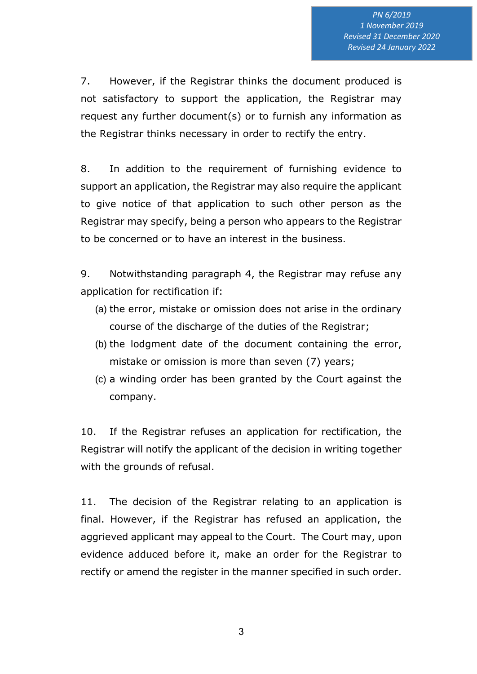7. However, if the Registrar thinks the document produced is not satisfactory to support the application, the Registrar may request any further document(s) or to furnish any information as the Registrar thinks necessary in order to rectify the entry.

8. In addition to the requirement of furnishing evidence to support an application, the Registrar may also require the applicant to give notice of that application to such other person as the Registrar may specify, being a person who appears to the Registrar to be concerned or to have an interest in the business.

9. Notwithstanding paragraph 4, the Registrar may refuse any application for rectification if:

- (a) the error, mistake or omission does not arise in the ordinary course of the discharge of the duties of the Registrar;
- (b) the lodgment date of the document containing the error, mistake or omission is more than seven (7) years;
- (c) a winding order has been granted by the Court against the company.

10. If the Registrar refuses an application for rectification, the Registrar will notify the applicant of the decision in writing together with the grounds of refusal.

11. The decision of the Registrar relating to an application is final. However, if the Registrar has refused an application, the aggrieved applicant may appeal to the Court. The Court may, upon evidence adduced before it, make an order for the Registrar to rectify or amend the register in the manner specified in such order.

3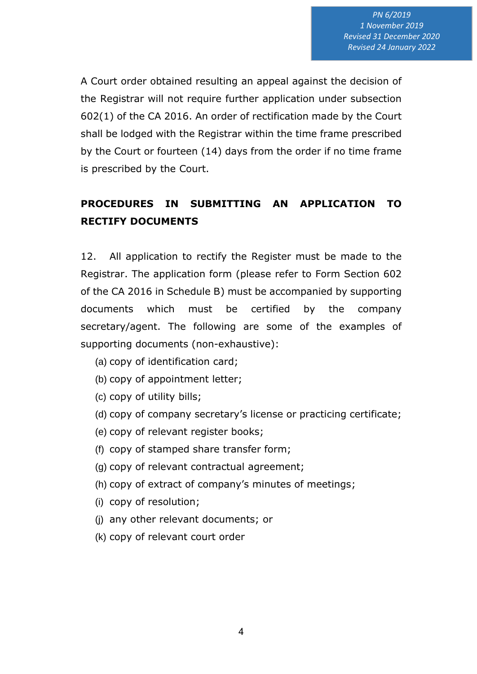A Court order obtained resulting an appeal against the decision of the Registrar will not require further application under subsection 602(1) of the CA 2016. An order of rectification made by the Court shall be lodged with the Registrar within the time frame prescribed by the Court or fourteen (14) days from the order if no time frame is prescribed by the Court.

### **PROCEDURES IN SUBMITTING AN APPLICATION TO RECTIFY DOCUMENTS**

12. All application to rectify the Register must be made to the Registrar. The application form (please refer to Form Section 602 of the CA 2016 in Schedule B) must be accompanied by supporting documents which must be certified by the company secretary/agent. The following are some of the examples of supporting documents (non-exhaustive):

- (a) copy of identification card;
- (b) copy of appointment letter;
- (c) copy of utility bills;
- (d) copy of company secretary's license or practicing certificate;
- (e) copy of relevant register books;
- (f) copy of stamped share transfer form;
- (g) copy of relevant contractual agreement;
- (h) copy of extract of company's minutes of meetings;
- (i) copy of resolution;
- (j) any other relevant documents; or
- (k) copy of relevant court order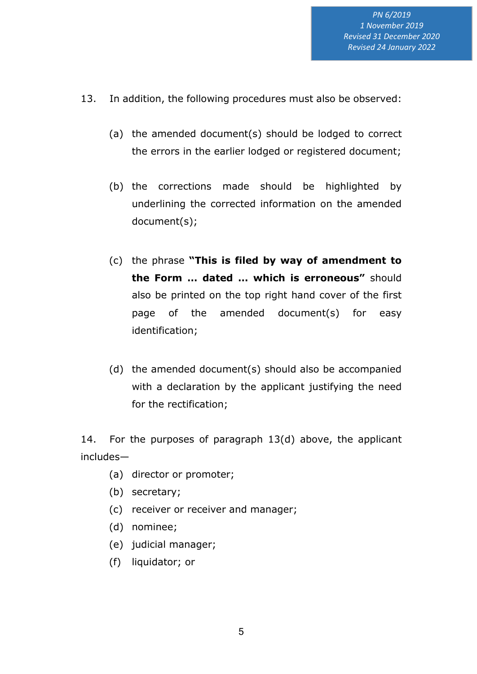- 13. In addition, the following procedures must also be observed:
	- (a) the amended document(s) should be lodged to correct the errors in the earlier lodged or registered document;
	- (b) the corrections made should be highlighted by underlining the corrected information on the amended document(s);
	- (c) the phrase **"This is filed by way of amendment to the Form … dated … which is erroneous"** should also be printed on the top right hand cover of the first page of the amended document(s) for easy identification;
	- (d) the amended document(s) should also be accompanied with a declaration by the applicant justifying the need for the rectification;

14. For the purposes of paragraph 13(d) above, the applicant includes—

- (a) director or promoter;
- (b) secretary;
- (c) receiver or receiver and manager;
- (d) nominee;
- (e) judicial manager;
- (f) liquidator; or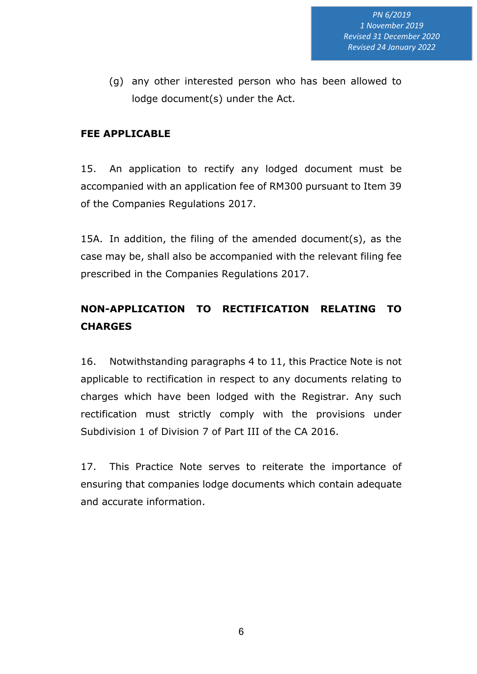(g) any other interested person who has been allowed to lodge document(s) under the Act.

### **FEE APPLICABLE**

15. An application to rectify any lodged document must be accompanied with an application fee of RM300 pursuant to Item 39 of the Companies Regulations 2017.

15A. In addition, the filing of the amended document(s), as the case may be, shall also be accompanied with the relevant filing fee prescribed in the Companies Regulations 2017.

### **NON-APPLICATION TO RECTIFICATION RELATING TO CHARGES**

16. Notwithstanding paragraphs 4 to 11, this Practice Note is not applicable to rectification in respect to any documents relating to charges which have been lodged with the Registrar. Any such rectification must strictly comply with the provisions under Subdivision 1 of Division 7 of Part III of the CA 2016.

17. This Practice Note serves to reiterate the importance of ensuring that companies lodge documents which contain adequate and accurate information.